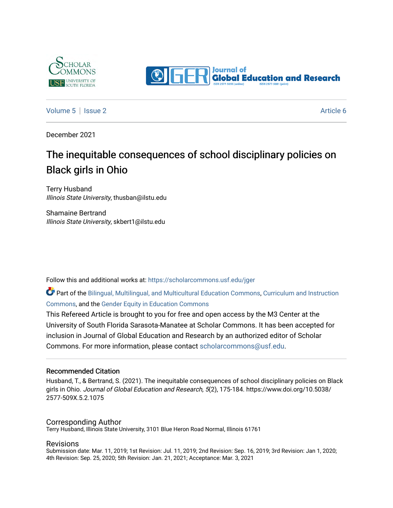



[Volume 5](https://scholarcommons.usf.edu/jger/vol5) | [Issue 2](https://scholarcommons.usf.edu/jger/vol5/iss2) Article 6

December 2021

# The inequitable consequences of school disciplinary policies on Black girls in Ohio

Terry Husband Illinois State University, thusban@ilstu.edu

Shamaine Bertrand Illinois State University, skbert1@ilstu.edu

Follow this and additional works at: [https://scholarcommons.usf.edu/jger](https://scholarcommons.usf.edu/jger?utm_source=scholarcommons.usf.edu%2Fjger%2Fvol5%2Fiss2%2F6&utm_medium=PDF&utm_campaign=PDFCoverPages) 

Part of the [Bilingual, Multilingual, and Multicultural Education Commons,](http://network.bepress.com/hgg/discipline/785?utm_source=scholarcommons.usf.edu%2Fjger%2Fvol5%2Fiss2%2F6&utm_medium=PDF&utm_campaign=PDFCoverPages) [Curriculum and Instruction](http://network.bepress.com/hgg/discipline/786?utm_source=scholarcommons.usf.edu%2Fjger%2Fvol5%2Fiss2%2F6&utm_medium=PDF&utm_campaign=PDFCoverPages)  [Commons](http://network.bepress.com/hgg/discipline/786?utm_source=scholarcommons.usf.edu%2Fjger%2Fvol5%2Fiss2%2F6&utm_medium=PDF&utm_campaign=PDFCoverPages), and the [Gender Equity in Education Commons](http://network.bepress.com/hgg/discipline/1376?utm_source=scholarcommons.usf.edu%2Fjger%2Fvol5%2Fiss2%2F6&utm_medium=PDF&utm_campaign=PDFCoverPages) 

This Refereed Article is brought to you for free and open access by the M3 Center at the University of South Florida Sarasota-Manatee at Scholar Commons. It has been accepted for inclusion in Journal of Global Education and Research by an authorized editor of Scholar Commons. For more information, please contact [scholarcommons@usf.edu](mailto:scholarcommons@usf.edu).

#### Recommended Citation

Husband, T., & Bertrand, S. (2021). The inequitable consequences of school disciplinary policies on Black girls in Ohio. Journal of Global Education and Research, 5(2), 175-184. https://www.doi.org/10.5038/ 2577-509X.5.2.1075

#### Corresponding Author

Terry Husband, Illinois State University, 3101 Blue Heron Road Normal, Illinois 61761

#### Revisions

Submission date: Mar. 11, 2019; 1st Revision: Jul. 11, 2019; 2nd Revision: Sep. 16, 2019; 3rd Revision: Jan 1, 2020; 4th Revision: Sep. 25, 2020; 5th Revision: Jan. 21, 2021; Acceptance: Mar. 3, 2021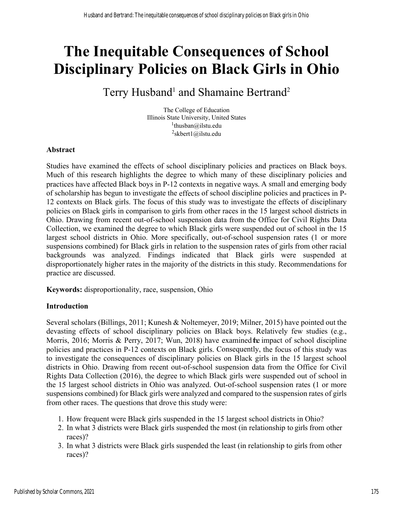# **The Inequitable Consequences of School Disciplinary Policies on Black Girls in Ohio**

# Terry Husband<sup>1</sup> and Shamaine Bertrand<sup>2</sup>

The College of Education Illinois State University, United States <sup>1</sup>thusban@ilstu.edu  ${}^{2}$ skbert1@ilstu.edu

# **Abstract**

Studies have examined the effects of school disciplinary policies and practices on Black boys. Much of this research highlights the degree to which many of these disciplinary policies and practices have affected Black boys in P-12 contexts in negative ways. A small and emerging body of scholarship has begun to investigate the effects of school discipline policies and practices in P-12 contexts on Black girls. The focus of this study was to investigate the effects of disciplinary policies on Black girls in comparison to girls from other races in the 15 largest school districts in Ohio. Drawing from recent out-of-school suspension data from the Office for Civil Rights Data Collection, we examined the degree to which Black girls were suspended out of school in the 15 largest school districts in Ohio. More specifically, out-of-school suspension rates (1 or more suspensions combined) for Black girls in relation to the suspension rates of girls from other racial backgrounds was analyzed. Findings indicated that Black girls were suspended at disproportionately higher rates in the majority of the districts in this study. Recommendations for practice are discussed.

**Keywords:** disproportionality, race, suspension, Ohio

# **Introduction**

Several scholars (Billings, 2011; Kunesh & Noltemeyer, 2019; Milner, 2015) have pointed out the devasting effects of school disciplinary policies on Black boys. Relatively few studies (e.g., Morris, 2016; Morris & Perry, 2017; Wun, 2018) have examined the impact of school discipline policies and practices in P-12 contexts on Black girls. Consequently, the focus of this study was to investigate the consequences of disciplinary policies on Black girls in the 15 largest school districts in Ohio. Drawing from recent out-of-school suspension data from the Office for Civil Rights Data Collection (2016), the degree to which Black girls were suspended out of school in the 15 largest school districts in Ohio was analyzed. Out-of-school suspension rates (1 or more suspensions combined) for Black girls were analyzed and compared to the suspension rates of girls from other races. The questions that drove this study were:

- 1. How frequent were Black girls suspended in the 15 largest school districts in Ohio?
- 2. In what 3 districts were Black girls suspended the most (in relationship to girls from other races)?
- 3. In what 3 districts were Black girls suspended the least (in relationship to girls from other races)?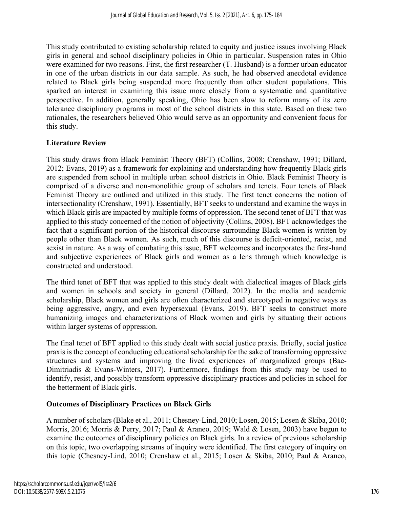This study contributed to existing scholarship related to equity and justice issues involving Black girls in general and school disciplinary policies in Ohio in particular. Suspension rates in Ohio were examined for two reasons. First, the first researcher (T. Husband) is a former urban educator in one of the urban districts in our data sample. As such, he had observed anecdotal evidence related to Black girls being suspended more frequently than other student populations. This sparked an interest in examining this issue more closely from a systematic and quantitative perspective. In addition, generally speaking, Ohio has been slow to reform many of its zero tolerance disciplinary programs in most of the school districts in this state. Based on these two rationales, the researchers believed Ohio would serve as an opportunity and convenient focus for this study.

# **Literature Review**

This study draws from Black Feminist Theory (BFT) (Collins, 2008; Crenshaw, 1991; Dillard, 2012; Evans, 2019) as a framework for explaining and understanding how frequently Black girls are suspended from school in multiple urban school districts in Ohio. Black Feminist Theory is comprised of a diverse and non-monolithic group of scholars and tenets. Four tenets of Black Feminist Theory are outlined and utilized in this study. The first tenet concerns the notion of intersectionality (Crenshaw, 1991). Essentially, BFT seeks to understand and examine the ways in which Black girls are impacted by multiple forms of oppression. The second tenet of BFT that was applied to this study concerned of the notion of objectivity (Collins, 2008). BFT acknowledges the fact that a significant portion of the historical discourse surrounding Black women is written by people other than Black women. As such, much of this discourse is deficit-oriented, racist, and sexist in nature. As a way of combating this issue, BFT welcomes and incorporates the first-hand and subjective experiences of Black girls and women as a lens through which knowledge is constructed and understood.

The third tenet of BFT that was applied to this study dealt with dialectical images of Black girls and women in schools and society in general (Dillard, 2012). In the media and academic scholarship, Black women and girls are often characterized and stereotyped in negative ways as being aggressive, angry, and even hypersexual (Evans, 2019). BFT seeks to construct more humanizing images and characterizations of Black women and girls by situating their actions within larger systems of oppression.

The final tenet of BFT applied to this study dealt with social justice praxis. Briefly, social justice praxis is the concept of conducting educational scholarship for the sake of transforming oppressive structures and systems and improving the lived experiences of marginalized groups (Bae-Dimitriadis & Evans-Winters, 2017). Furthermore, findings from this study may be used to identify, resist, and possibly transform oppressive disciplinary practices and policies in school for the betterment of Black girls.

### **Outcomes of Disciplinary Practices on Black Girls**

A number of scholars (Blake et al., 2011; Chesney-Lind, 2010; Losen, 2015; Losen & Skiba, 2010; Morris, 2016; Morris & Perry, 2017; Paul & Araneo, 2019; Wald & Losen, 2003) have begun to examine the outcomes of disciplinary policies on Black girls. In a review of previous scholarship on this topic, two overlapping streams of inquiry were identified. The first category of inquiry on this topic (Chesney-Lind, 2010; Crenshaw et al., 2015; Losen & Skiba, 2010; Paul & Araneo,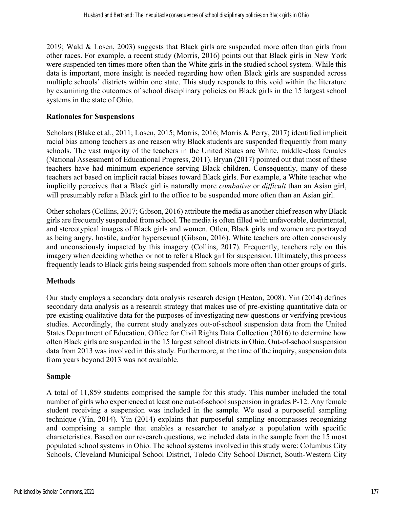2019; Wald & Losen, 2003) suggests that Black girls are suspended more often than girls from other races. For example, a recent study (Morris, 2016) points out that Black girls in New York were suspended ten times more often than the White girls in the studied school system. While this data is important, more insight is needed regarding how often Black girls are suspended across multiple schools' districts within one state. This study responds to this void within the literature by examining the outcomes of school disciplinary policies on Black girls in the 15 largest school systems in the state of Ohio.

## **Rationales for Suspensions**

Scholars (Blake et al., 2011; Losen, 2015; Morris, 2016; Morris & Perry, 2017) identified implicit racial bias among teachers as one reason why Black students are suspended frequently from many schools. The vast majority of the teachers in the United States are White, middle-class females (National Assessment of Educational Progress, 2011). Bryan (2017) pointed out that most of these teachers have had minimum experience serving Black children. Consequently, many of these teachers act based on implicit racial biases toward Black girls. For example, a White teacher who implicitly perceives that a Black girl is naturally more *combative* or *difficult* than an Asian girl, will presumably refer a Black girl to the office to be suspended more often than an Asian girl.

Other scholars (Collins, 2017; Gibson, 2016) attribute the media as another chief reason why Black girls are frequently suspended from school. The media is often filled with unfavorable, detrimental, and stereotypical images of Black girls and women. Often, Black girls and women are portrayed as being angry, hostile, and/or hypersexual (Gibson, 2016). White teachers are often consciously and unconsciously impacted by this imagery (Collins, 2017). Frequently, teachers rely on this imagery when deciding whether or not to refer a Black girl for suspension. Ultimately, this process frequently leads to Black girls being suspended from schools more often than other groups of girls.

# **Methods**

Our study employs a secondary data analysis research design (Heaton, 2008). Yin (2014) defines secondary data analysis as a research strategy that makes use of pre-existing quantitative data or pre-existing qualitative data for the purposes of investigating new questions or verifying previous studies. Accordingly, the current study analyzes out-of-school suspension data from the United States Department of Education, Office for Civil Rights Data Collection (2016) to determine how often Black girls are suspended in the 15 largest school districts in Ohio. Out-of-school suspension data from 2013 was involved in this study. Furthermore, at the time of the inquiry, suspension data from years beyond 2013 was not available.

# **Sample**

A total of 11,859 students comprised the sample for this study. This number included the total number of girls who experienced at least one out-of-school suspension in grades P-12. Any female student receiving a suspension was included in the sample. We used a purposeful sampling technique (Yin, 2014). Yin (2014) explains that purposeful sampling encompasses recognizing and comprising a sample that enables a researcher to analyze a population with specific characteristics. Based on our research questions, we included data in the sample from the 15 most populated school systems in Ohio. The school systems involved in this study were: Columbus City Schools, Cleveland Municipal School District, Toledo City School District, South-Western City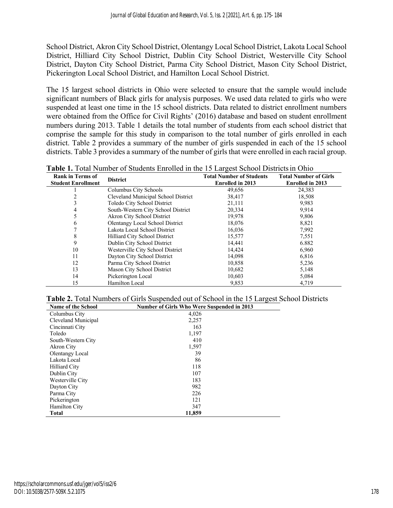School District, Akron City School District, Olentangy Local School District, Lakota Local School District, Hilliard City School District, Dublin City School District, Westerville City School District, Dayton City School District, Parma City School District, Mason City School District, Pickerington Local School District, and Hamilton Local School District.

The 15 largest school districts in Ohio were selected to ensure that the sample would include significant numbers of Black girls for analysis purposes. We used data related to girls who were suspended at least one time in the 15 school districts. Data related to district enrollment numbers were obtained from the Office for Civil Rights' (2016) database and based on student enrollment numbers during 2013. Table 1 details the total number of students from each school district that comprise the sample for this study in comparison to the total number of girls enrolled in each district. Table 2 provides a summary of the number of girls suspended in each of the 15 school districts. Table 3 provides a summary of the number of girls that were enrolled in each racial group.

| <b>Rank in Terms of</b><br><b>Student Enrollment</b> | <b>District</b>                     | <b>Total Number of Students</b><br><b>Enrolled in 2013</b> | <b>Total Number of Girls</b><br><b>Enrolled in 2013</b> |
|------------------------------------------------------|-------------------------------------|------------------------------------------------------------|---------------------------------------------------------|
|                                                      | Columbus City Schools               | 49,656                                                     | 24,383                                                  |
|                                                      | Cleveland Municipal School District | 38,417                                                     | 18,508                                                  |
|                                                      | Toledo City School District         | 21,111                                                     | 9,983                                                   |
| 4                                                    | South-Western City School District  | 20,334                                                     | 9,914                                                   |
|                                                      | <b>Akron City School District</b>   | 19,978                                                     | 9,806                                                   |
| 6                                                    | Olentangy Local School District     | 18,076                                                     | 8,821                                                   |
|                                                      | Lakota Local School District        | 16,036                                                     | 7,992                                                   |
| 8                                                    | Hilliard City School District       | 15,577                                                     | 7,551                                                   |
| 9                                                    | Dublin City School District         | 14,441                                                     | 6.882                                                   |
| 10                                                   | Westerville City School District    | 14,424                                                     | 6,960                                                   |
| 11                                                   | Dayton City School District         | 14,098                                                     | 6,816                                                   |
| 12                                                   | Parma City School District          | 10,858                                                     | 5,236                                                   |
| 13                                                   | Mason City School District          | 10,682                                                     | 5,148                                                   |
| 14                                                   | Pickerington Local                  | 10,603                                                     | 5,084                                                   |
| 15                                                   | <b>Hamilton Local</b>               | 9,853                                                      | 4,719                                                   |

**Table 1.** Total Number of Students Enrolled in the 15 Largest School Districts in Ohio

| <b>Table 2.</b> Total Numbers of Girls Suspended out of School in the 15 Largest School Districts |  |  |
|---------------------------------------------------------------------------------------------------|--|--|
|                                                                                                   |  |  |

| <b>Name of the School</b> | <b>Number of Girls Who Were Suspended in 2013</b> |  |  |  |  |  |
|---------------------------|---------------------------------------------------|--|--|--|--|--|
| Columbus City             | 4,026                                             |  |  |  |  |  |
| Cleveland Municipal       | 2,257                                             |  |  |  |  |  |
| Cincinnati City           | 163                                               |  |  |  |  |  |
| Toledo                    | 1,197                                             |  |  |  |  |  |
| South-Western City        | 410                                               |  |  |  |  |  |
| Akron City                | 1,597                                             |  |  |  |  |  |
| <b>Olentangy Local</b>    | 39                                                |  |  |  |  |  |
| Lakota Local              | 86                                                |  |  |  |  |  |
| Hilliard City             | 118                                               |  |  |  |  |  |
| Dublin City               | 107                                               |  |  |  |  |  |
| Westerville City          | 183                                               |  |  |  |  |  |
| Dayton City               | 982                                               |  |  |  |  |  |
| Parma City                | 226                                               |  |  |  |  |  |
| Pickerington              | 121                                               |  |  |  |  |  |
| Hamilton City             | 347                                               |  |  |  |  |  |
| <b>Total</b>              | 11,859                                            |  |  |  |  |  |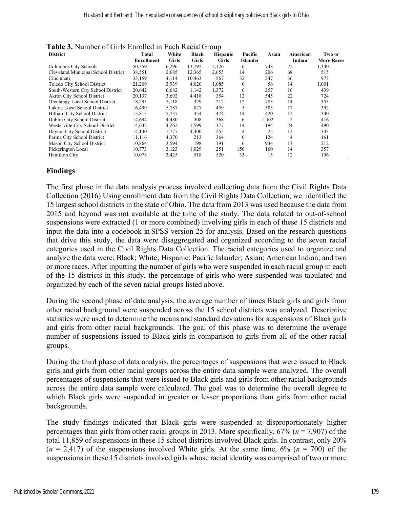| <b>District</b>                     | Total             | White        | <b>Black</b> | <b>Hispanic</b> | Pacific          | Asian | American       | Two or            |
|-------------------------------------|-------------------|--------------|--------------|-----------------|------------------|-------|----------------|-------------------|
|                                     | <b>Enrollment</b> | <b>Girls</b> | <b>Girls</b> | <b>Girls</b>    | <b>Islander</b>  |       | Indian         | <b>More Races</b> |
| Columbus City Schools               | 50,359            | 6,296        | 13,792       | 2,126           | 6                | 748   | 75             | 1,340             |
| Cleveland Municipal School District | 38,551            | 2,685        | 12,365       | 2,655           | 14               | 206   | 68             | 515               |
| Cincinnati                          | 33,159            | 4,114        | 10,463       | 567             | 32               | 247   | 36             | 973               |
| Toledo City School District         | 21,209            | 3,939        | 4,020        | 1,085           | $\boldsymbol{0}$ | 56    | 14             | 1,001             |
| South-Western City School District  | 20,642            | 6,682        | 1,142        | 1,372           | 6                | 257   | 16             | 439               |
| Akron City School District          | 20,137            | 3,692        | 4,418        | 354             | 12               | 545   | 22             | 724               |
| Olentangy Local School District     | 18,293            | 7,118        | 329          | 212             | 12               | 783   | 14             | 353               |
| Lakota Local School District        | 16,499            | 5,787        | 827          | 459             | 5                | 505   | 17             | 392               |
| Hilliard City School District       | 15,813            | 5,737        | 454          | 474             | 14               | 420   | 12             | 340               |
| Dublin City School District         | 14,694            | 4,480        | 308          | 368             | 6                | 1,302 | $\overline{2}$ | 416               |
| Westerville City School District    | 14,642            | 4,262        | 1,599        | 377             | 14               | 194   | 24             | 490               |
| Dayton City School District         | 14,130            | 1,777        | 4,400        | 255             | 4                | 25    | 12             | 343               |
| Parma City School District          | 11.116            | 4,370        | 213          | 364             | $\mathbf{0}$     | 124   | 4              | 161               |
| Mason City School District          | 10.864            | 3,594        | 198          | 191             | 6                | 934   | 13             | 212               |
| Pickerington Local                  | 10,773            | 3,123        | 1,029        | 251             | 150              | 160   | 14             | 357               |
| Hamilton City                       | 10,078            | 3,425        | 518          | 520             | 33               | 15    | 12             | 196               |

**Table 3.** Number of Girls Enrolled in Each Racial Group

## **Findings**

The first phase in the data analysis process involved collecting data from the Civil Rights Data Collection (2016) Using enrollment data from the Civil Rights Data Collection, we identified the 15 largest school districts in the state of Ohio. The data from 2013 was used because the data from 2015 and beyond was not available at the time of the study. The data related to out-of-school suspensions were extracted (1 or more combined) involving girls in each of these 15 districts and input the data into a codebook in SPSS version 25 for analysis. Based on the research questions that drive this study, the data were disaggregated and organized according to the seven racial categories used in the Civil Rights Data Collection. The racial categories used to organize and analyze the data were: Black; White; Hispanic; Pacific Islander; Asian; American Indian; and two or more races. After inputting the number of girls who were suspended in each racial group in each of the 15 districts in this study, the percentage of girls who were suspended was tabulated and organized by each of the seven racial groups listed above.

During the second phase of data analysis, the average number of times Black girls and girls from other racial background were suspended across the 15 school districts was analyzed. Descriptive statistics were used to determine the means and standard deviations for suspensions of Black girls and girls from other racial backgrounds. The goal of this phase was to determine the average number of suspensions issued to Black girls in comparison to girls from all of the other racial groups.

During the third phase of data analysis, the percentages of suspensions that were issued to Black girls and girls from other racial groups across the entire data sample were analyzed. The overall percentages of suspensions that were issued to Black girls and girls from other racial backgrounds across the entire data sample were calculated. The goal was to determine the overall degree to which Black girls were suspended in greater or lesser proportions than girls from other racial backgrounds.

The study findings indicated that Black girls were suspended at disproportionately higher percentages than girls from other racial groups in 2013. More specifically, 67% (*n* = 7,907) of the total 11,859 of suspensions in these 15 school districts involved Black girls. In contrast, only 20%  $(n = 2,417)$  of the suspensions involved White girls. At the same time,  $6\%$   $(n = 700)$  of the suspensions in these 15 districts involved girls whose racial identity was comprised of two or more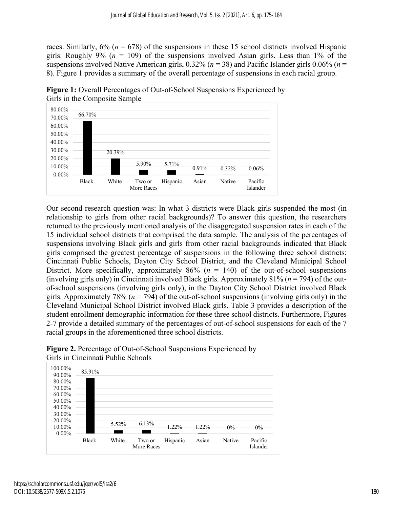races. Similarly,  $6\%$  ( $n = 678$ ) of the suspensions in these 15 school districts involved Hispanic girls. Roughly 9% ( $n = 109$ ) of the suspensions involved Asian girls. Less than 1% of the suspensions involved Native American girls, 0.32% (*n* = 38) and Pacific Islander girls 0.06% (*n* = 8). Figure 1 provides a summary of the overall percentage of suspensions in each racial group.



**Figure 1:** Overall Percentages of Out-of-School Suspensions Experienced by Girls in the Composite Sample

Our second research question was: In what 3 districts were Black girls suspended the most (in relationship to girls from other racial backgrounds)? To answer this question, the researchers returned to the previously mentioned analysis of the disaggregated suspension rates in each of the 15 individual school districts that comprised the data sample. The analysis of the percentages of suspensions involving Black girls and girls from other racial backgrounds indicated that Black girls comprised the greatest percentage of suspensions in the following three school districts: Cincinnati Public Schools, Dayton City School District, and the Cleveland Municipal School District. More specifically, approximately  $86\%$  ( $n = 140$ ) of the out-of-school suspensions (involving girls only) in Cincinnati involved Black girls. Approximately 81% (*n* = 794) of the outof-school suspensions (involving girls only), in the Dayton City School District involved Black girls. Approximately 78% ( $n = 794$ ) of the out-of-school suspensions (involving girls only) in the Cleveland Municipal School District involved Black girls. Table 3 provides a description of the student enrollment demographic information for these three school districts. Furthermore, Figures 2-7 provide a detailed summary of the percentages of out-of-school suspensions for each of the 7 racial groups in the aforementioned three school districts.



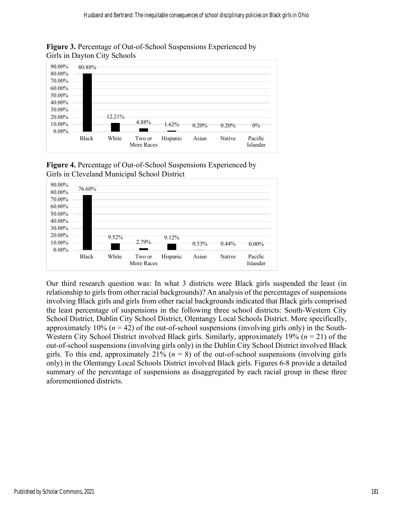

**Figure 3.** Percentage of Out-of-School Suspensions Experienced by Girls in Dayton City Schools





Our third research question was: In what 3 districts were Black girls suspended the least (in relationship to girls from other racial backgrounds)? An analysis of the percentages of suspensions involving Black girls and girls from other racial backgrounds indicated that Black girls comprised the least percentage of suspensions in the following three school districts: South-Western City School District, Dublin City School District, Olentangy Local Schools District. More specifically, approximately 10% (*n* = 42) of the out-of-school suspensions (involving girls only) in the South-Western City School District involved Black girls. Similarly, approximately 19% (*n* = 21) of the out-of-school suspensions (involving girls only) in the Dublin City School District involved Black girls. To this end, approximately  $21\%$  ( $n = 8$ ) of the out-of-school suspensions (involving girls only) in the Olentangy Local Schools District involved Black girls. Figures 6-8 provide a detailed summary of the percentage of suspensions as disaggregated by each racial group in these three aforementioned districts.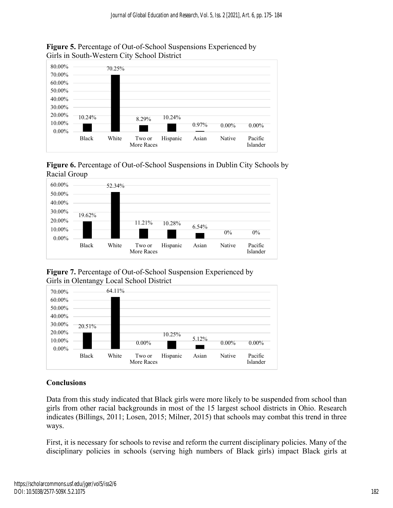

# **Figure 5.** Percentage of Out-of-School Suspensions Experienced by Girls in South-Western City School District





**Figure 7.** Percentage of Out-of-School Suspension Experienced by Girls in Olentangy Local School District



# **Conclusions**

Data from this study indicated that Black girls were more likely to be suspended from school than girls from other racial backgrounds in most of the 15 largest school districts in Ohio. Research indicates (Billings, 2011; Losen, 2015; Milner, 2015) that schools may combat this trend in three ways.

First, it is necessary for schools to revise and reform the current disciplinary policies. Many of the disciplinary policies in schools (serving high numbers of Black girls) impact Black girls at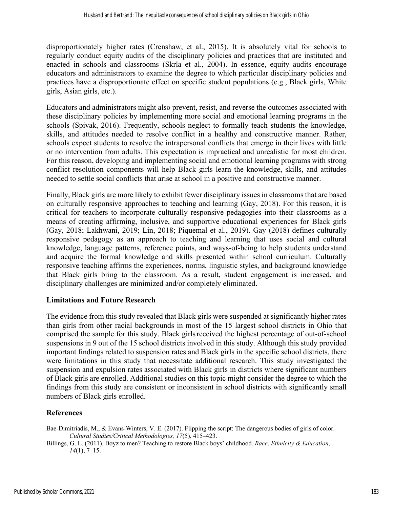disproportionately higher rates (Crenshaw, et al., 2015). It is absolutely vital for schools to regularly conduct equity audits of the disciplinary policies and practices that are instituted and enacted in schools and classrooms (Skrla et al., 2004). In essence, equity audits encourage educators and administrators to examine the degree to which particular disciplinary policies and practices have a disproportionate effect on specific student populations (e.g., Black girls, White girls, Asian girls, etc.).

Educators and administrators might also prevent, resist, and reverse the outcomes associated with these disciplinary policies by implementing more social and emotional learning programs in the schools (Spivak, 2016). Frequently, schools neglect to formally teach students the knowledge, skills, and attitudes needed to resolve conflict in a healthy and constructive manner. Rather, schools expect students to resolve the intrapersonal conflicts that emerge in their lives with little or no intervention from adults. This expectation is impractical and unrealistic for most children. For this reason, developing and implementing social and emotional learning programs with strong conflict resolution components will help Black girls learn the knowledge, skills, and attitudes needed to settle social conflicts that arise at school in a positive and constructive manner.

Finally, Black girls are more likely to exhibit fewer disciplinary issues in classrooms that are based on culturally responsive approaches to teaching and learning (Gay, 2018). For this reason, it is critical for teachers to incorporate culturally responsive pedagogies into their classrooms as a means of creating affirming, inclusive, and supportive educational experiences for Black girls (Gay, 2018; Lakhwani, 2019; Lin, 2018; Piquemal et al., 2019). Gay (2018) defines culturally responsive pedagogy as an approach to teaching and learning that uses social and cultural knowledge, language patterns, reference points, and ways-of-being to help students understand and acquire the formal knowledge and skills presented within school curriculum. Culturally responsive teaching affirms the experiences, norms, linguistic styles, and background knowledge that Black girls bring to the classroom. As a result, student engagement is increased, and disciplinary challenges are minimized and/or completely eliminated.

# **Limitations and Future Research**

The evidence from this study revealed that Black girls were suspended at significantly higher rates than girls from other racial backgrounds in most of the 15 largest school districts in Ohio that comprised the sample for this study. Black girls received the highest percentage of out-of-school suspensions in 9 out of the 15 school districts involved in this study. Although this study provided important findings related to suspension rates and Black girls in the specific school districts, there were limitations in this study that necessitate additional research. This study investigated the suspension and expulsion rates associated with Black girls in districts where significant numbers of Black girls are enrolled. Additional studies on this topic might consider the degree to which the findings from this study are consistent or inconsistent in school districts with significantly small numbers of Black girls enrolled.

# **References**

Bae-Dimitriadis, M., & Evans-Winters, V. E. (2017). Flipping the script: The dangerous bodies of girls of color. *Cultural Studies/Critical Methodologies, 17*(5), 415–423.

Billings, G. L. (2011). Boyz to men? Teaching to restore Black boys' childhood. *Race, Ethnicity & Education*, *14*(1), 7–15.